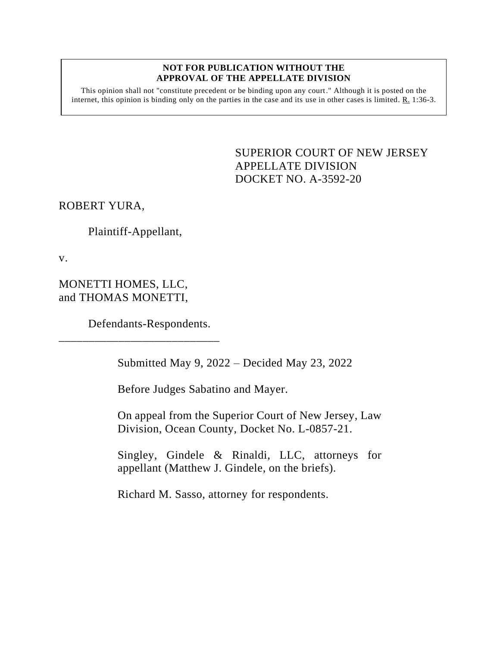## **NOT FOR PUBLICATION WITHOUT THE APPROVAL OF THE APPELLATE DIVISION**

This opinion shall not "constitute precedent or be binding upon any court." Although it is posted on the internet, this opinion is binding only on the parties in the case and its use in other cases is limited. R. 1:36-3.

> <span id="page-0-0"></span>SUPERIOR COURT OF NEW JERSEY APPELLATE DIVISION DOCKET NO. A-3592-20

ROBERT YURA,

Plaintiff-Appellant,

v.

MONETTI HOMES, LLC, and THOMAS MONETTI,

Defendants-Respondents.

\_\_\_\_\_\_\_\_\_\_\_\_\_\_\_\_\_\_\_\_\_\_\_\_\_\_\_

Submitted May 9, 2022 – Decided May 23, 2022

Before Judges Sabatino and Mayer.

On appeal from the Superior Court of New Jersey, Law Division, Ocean County, Docket No. L-0857-21.

Singley, Gindele & Rinaldi, LLC, attorneys for appellant (Matthew J. Gindele, on the briefs).

Richard M. Sasso, attorney for respondents.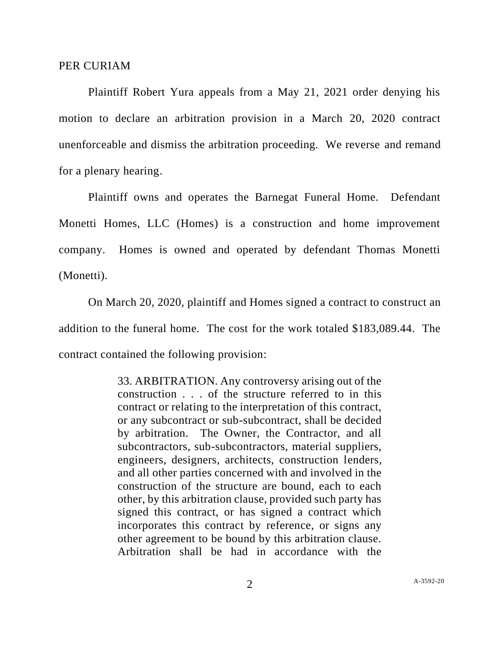## PER CURIAM

Plaintiff Robert Yura appeals from a May 21, 2021 order denying his motion to declare an arbitration provision in a March 20, 2020 contract unenforceable and dismiss the arbitration proceeding. We reverse and remand for a plenary hearing.

Plaintiff owns and operates the Barnegat Funeral Home. Defendant Monetti Homes, LLC (Homes) is a construction and home improvement company. Homes is owned and operated by defendant Thomas Monetti (Monetti).

On March 20, 2020, plaintiff and Homes signed a contract to construct an addition to the funeral home. The cost for the work totaled \$183,089.44. The contract contained the following provision:

> 33. ARBITRATION. Any controversy arising out of the construction . . . of the structure referred to in this contract or relating to the interpretation of this contract, or any subcontract or sub-subcontract, shall be decided by arbitration. The Owner, the Contractor, and all subcontractors, sub-subcontractors, material suppliers, engineers, designers, architects, construction lenders, and all other parties concerned with and involved in the construction of the structure are bound, each to each other, by this arbitration clause, provided such party has signed this contract, or has signed a contract which incorporates this contract by reference, or signs any other agreement to be bound by this arbitration clause. Arbitration shall be had in accordance with the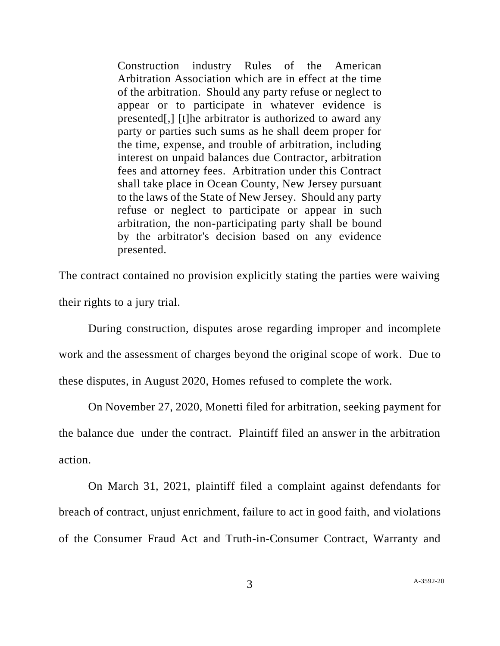Construction industry Rules of the American Arbitration Association which are in effect at the time of the arbitration. Should any party refuse or neglect to appear or to participate in whatever evidence is presented[,] [t]he arbitrator is authorized to award any party or parties such sums as he shall deem proper for the time, expense, and trouble of arbitration, including interest on unpaid balances due Contractor, arbitration fees and attorney fees. Arbitration under this Contract shall take place in Ocean County, New Jersey pursuant to the laws of the State of New Jersey. Should any party refuse or neglect to participate or appear in such arbitration, the non-participating party shall be bound by the arbitrator's decision based on any evidence presented.

The contract contained no provision explicitly stating the parties were waiving their rights to a jury trial.

During construction, disputes arose regarding improper and incomplete work and the assessment of charges beyond the original scope of work. Due to these disputes, in August 2020, Homes refused to complete the work.

On November 27, 2020, Monetti filed for arbitration, seeking payment for the balance due under the contract. Plaintiff filed an answer in the arbitration action.

On March 31, 2021, plaintiff filed a complaint against defendants for breach of contract, unjust enrichment, failure to act in good faith, and violations of the Consumer Fraud Act and Truth-in-Consumer Contract, Warranty and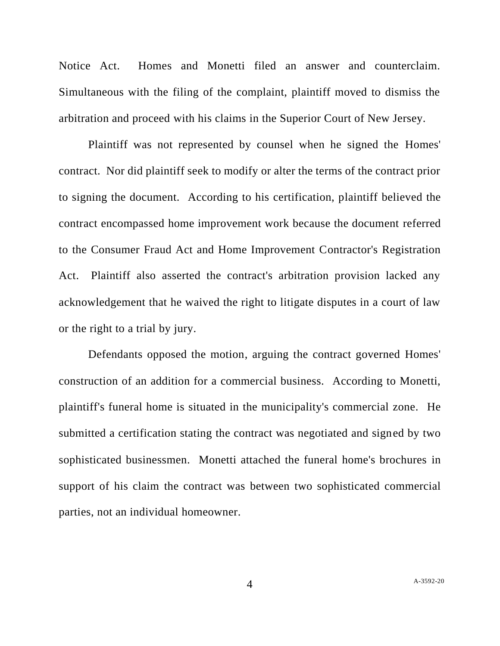Notice Act. Homes and Monetti filed an answer and counterclaim. Simultaneous with the filing of the complaint, plaintiff moved to dismiss the arbitration and proceed with his claims in the Superior Court of New Jersey.

Plaintiff was not represented by counsel when he signed the Homes' contract. Nor did plaintiff seek to modify or alter the terms of the contract prior to signing the document. According to his certification, plaintiff believed the contract encompassed home improvement work because the document referred to the Consumer Fraud Act and Home Improvement Contractor's Registration Act. Plaintiff also asserted the contract's arbitration provision lacked any acknowledgement that he waived the right to litigate disputes in a court of law or the right to a trial by jury.

Defendants opposed the motion, arguing the contract governed Homes' construction of an addition for a commercial business. According to Monetti, plaintiff's funeral home is situated in the municipality's commercial zone. He submitted a certification stating the contract was negotiated and signed by two sophisticated businessmen. Monetti attached the funeral home's brochures in support of his claim the contract was between two sophisticated commercial parties, not an individual homeowner.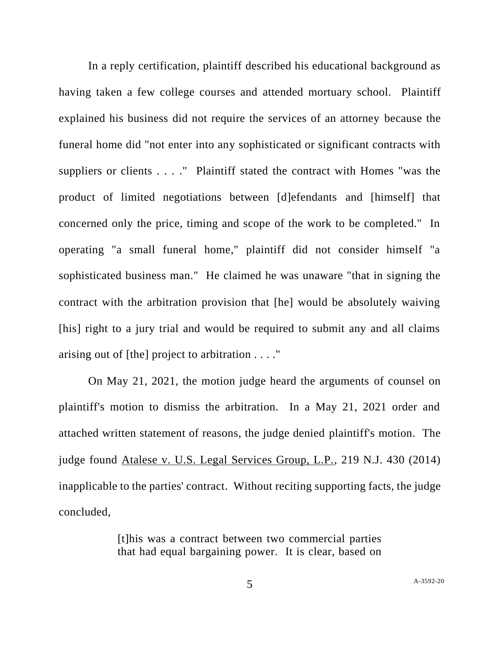In a reply certification, plaintiff described his educational background as having taken a few college courses and attended mortuary school. Plaintiff explained his business did not require the services of an attorney because the funeral home did "not enter into any sophisticated or significant contracts with suppliers or clients . . . ." Plaintiff stated the contract with Homes "was the product of limited negotiations between [d]efendants and [himself] that concerned only the price, timing and scope of the work to be completed." In operating "a small funeral home," plaintiff did not consider himself "a sophisticated business man." He claimed he was unaware "that in signing the contract with the arbitration provision that [he] would be absolutely waiving [his] right to a jury trial and would be required to submit any and all claims arising out of [the] project to arbitration . . . ."

On May 21, 2021, the motion judge heard the arguments of counsel on plaintiff's motion to dismiss the arbitration. In a May 21, 2021 order and attached written statement of reasons, the judge denied plaintiff's motion. The judge found Atalese v. U.S. Legal Services Group, L.P., 219 N.J. 430 (2014) inapplicable to the parties' contract. Without reciting supporting facts, the judge concluded,

> [t]his was a contract between two commercial parties that had equal bargaining power. It is clear, based on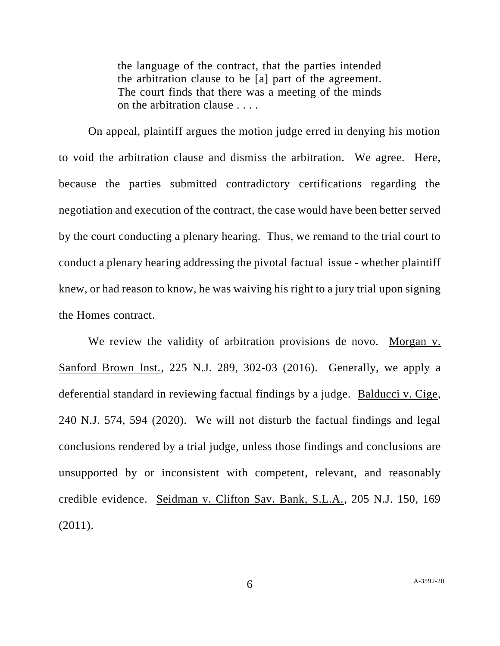the language of the contract, that the parties intended the arbitration clause to be [a] part of the agreement. The court finds that there was a meeting of the minds on the arbitration clause . . . .

On appeal, plaintiff argues the motion judge erred in denying his motion to void the arbitration clause and dismiss the arbitration. We agree. Here, because the parties submitted contradictory certifications regarding the negotiation and execution of the contract, the case would have been better served by the court conducting a plenary hearing. Thus, we remand to the trial court to conduct a plenary hearing addressing the pivotal factual issue - whether plaintiff knew, or had reason to know, he was waiving his right to a jury trial upon signing the Homes contract.

We review the validity of arbitration provisions de novo. Morgan v. Sanford Brown Inst., 225 N.J. 289, 302-03 (2016). Generally, we apply a deferential standard in reviewing factual findings by a judge. Balducci v. Cige, 240 N.J. 574, 594 (2020). We will not disturb the factual findings and legal conclusions rendered by a trial judge, unless those findings and conclusions are unsupported by or inconsistent with competent, relevant, and reasonably credible evidence. Seidman v. Clifton Sav. Bank, S.L.A., 205 N.J. 150, 169 (2011).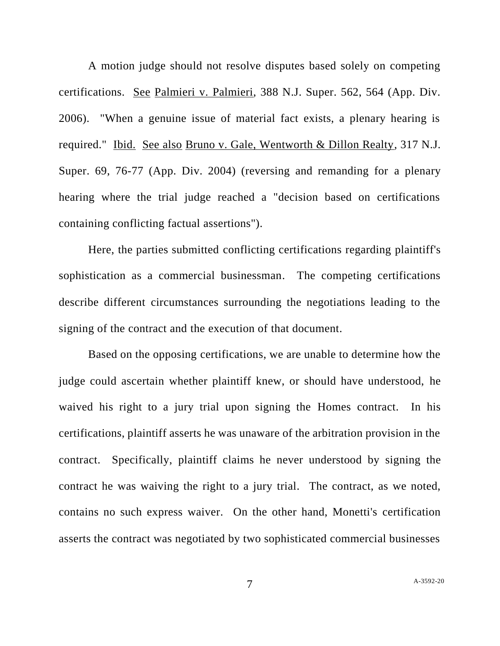A motion judge should not resolve disputes based solely on competing certifications. See Palmieri v. Palmieri, 388 N.J. Super. 562, 564 (App. Div. 2006). "When a genuine issue of material fact exists, a plenary hearing is required." Ibid. See also Bruno v. Gale, Wentworth & Dillon Realty, 317 N.J. Super. 69, 76-77 (App. Div. 2004) (reversing and remanding for a plenary hearing where the trial judge reached a "decision based on certifications containing conflicting factual assertions").

Here, the parties submitted conflicting certifications regarding plaintiff's sophistication as a commercial businessman. The competing certifications describe different circumstances surrounding the negotiations leading to the signing of the contract and the execution of that document.

Based on the opposing certifications, we are unable to determine how the judge could ascertain whether plaintiff knew, or should have understood, he waived his right to a jury trial upon signing the Homes contract. In his certifications, plaintiff asserts he was unaware of the arbitration provision in the contract. Specifically, plaintiff claims he never understood by signing the contract he was waiving the right to a jury trial. The contract, as we noted, contains no such express waiver. On the other hand, Monetti's certification asserts the contract was negotiated by two sophisticated commercial businesses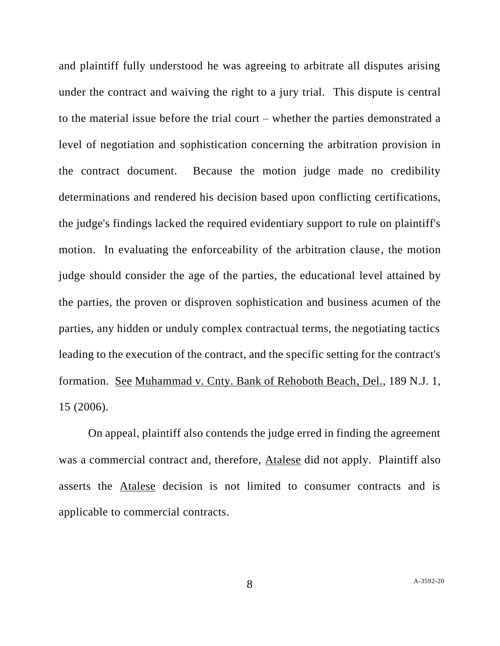and plaintiff fully understood he was agreeing to arbitrate all disputes arising under the contract and waiving the right to a jury trial. This dispute is central to the material issue before the trial court – whether the parties demonstrated a level of negotiation and sophistication concerning the arbitration provision in the contract document. Because the motion judge made no credibility determinations and rendered his decision based upon conflicting certifications, the judge's findings lacked the required evidentiary support to rule on plaintiff's motion. In evaluating the enforceability of the arbitration clause, the motion judge should consider the age of the parties, the educational level attained by the parties, the proven or disproven sophistication and business acumen of the parties, any hidden or unduly complex contractual terms, the negotiating tactics leading to the execution of the contract, and the specific setting for the contract's formation. See Muhammad v. Cnty. Bank of Rehoboth Beach, Del., 189 N.J. 1, 15 (2006).

On appeal, plaintiff also contends the judge erred in finding the agreement was a commercial contract and, therefore, Atalese did not apply. Plaintiff also asserts the Atalese decision is not limited to consumer contracts and is applicable to commercial contracts.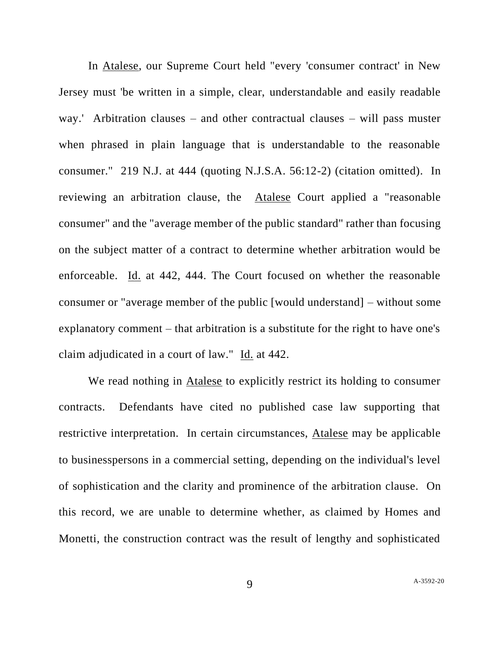In Atalese, our Supreme Court held "every 'consumer contract' in New Jersey must 'be written in a simple, clear, understandable and easily readable way.' Arbitration clauses – and other contractual clauses – will pass muster when phrased in plain language that is understandable to the reasonable consumer." 219 N.J. at 444 (quoting N.J.S.A. 56:12-2) (citation omitted). In reviewing an arbitration clause, the Atalese Court applied a "reasonable consumer" and the "average member of the public standard" rather than focusing on the subject matter of a contract to determine whether arbitration would be enforceable. Id. at 442, 444. The Court focused on whether the reasonable consumer or "average member of the public [would understand] – without some explanatory comment – that arbitration is a substitute for the right to have one's claim adjudicated in a court of law." Id. at 442.

We read nothing in Atalese to explicitly restrict its holding to consumer contracts. Defendants have cited no published case law supporting that restrictive interpretation. In certain circumstances, Atalese may be applicable to businesspersons in a commercial setting, depending on the individual's level of sophistication and the clarity and prominence of the arbitration clause. On this record, we are unable to determine whether, as claimed by Homes and Monetti, the construction contract was the result of lengthy and sophisticated